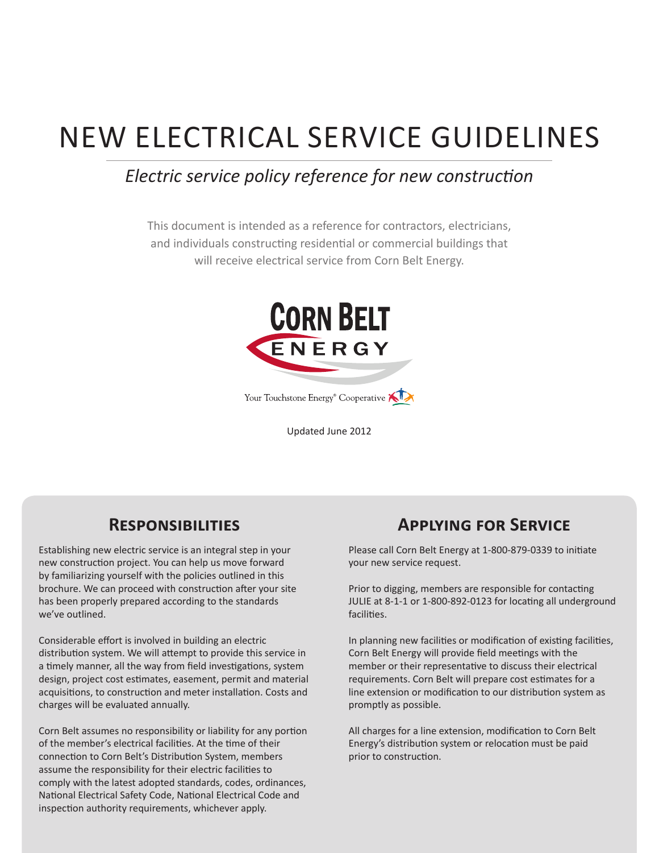# NEW ELECTRICAL SERVICE GUIDELINES

# *Electric service policy reference for new construction*

This document is intended as a reference for contractors, electricians, and individuals constructing residential or commercial buildings that will receive electrical service from Corn Belt Energy.



Updated June 2012

# **Responsibilities**

Establishing new electric service is an integral step in your new construction project. You can help us move forward by familiarizing yourself with the policies outlined in this brochure. We can proceed with construction after your site has been properly prepared according to the standards we've outlined.

Considerable effort is involved in building an electric distribution system. We will attempt to provide this service in a timely manner, all the way from field investigations, system design, project cost estimates, easement, permit and material acquisitions, to construction and meter installation. Costs and charges will be evaluated annually.

Corn Belt assumes no responsibility or liability for any portion of the member's electrical facilities. At the time of their connection to Corn Belt's Distribution System, members assume the responsibility for their electric facilities to comply with the latest adopted standards, codes, ordinances, National Electrical Safety Code, National Electrical Code and inspection authority requirements, whichever apply.

# **Applying for Service**

Please call Corn Belt Energy at 1-800-879-0339 to initiate your new service request.

Prior to digging, members are responsible for contacting JULIE at 8-1-1 or 1-800-892-0123 for locating all underground facilities.

In planning new facilities or modification of existing facilities, Corn Belt Energy will provide field meetings with the member or their representative to discuss their electrical requirements. Corn Belt will prepare cost estimates for a line extension or modification to our distribution system as promptly as possible.

All charges for a line extension, modification to Corn Belt Energy's distribution system or relocation must be paid prior to construction.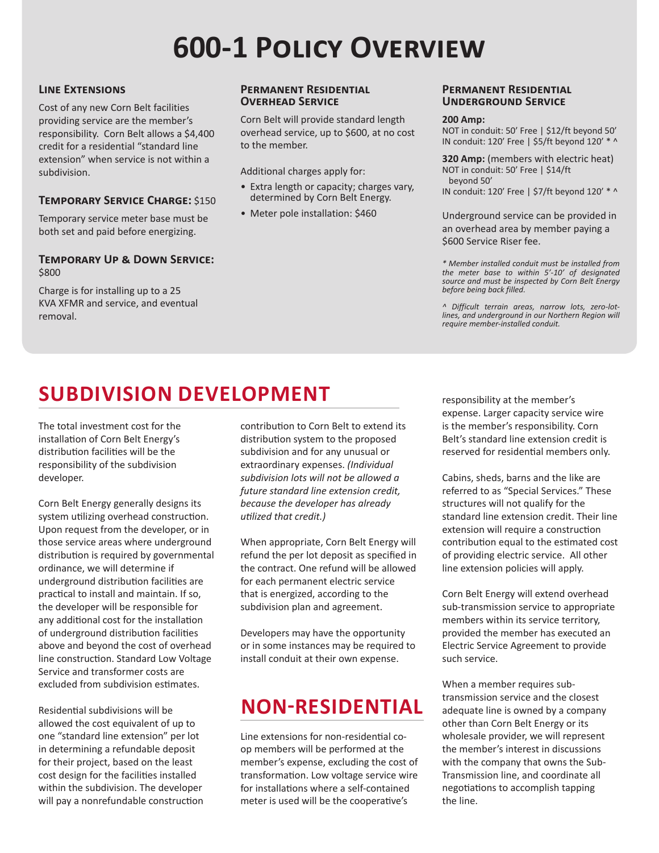# **600-1 Policy Overview**

### **Line Extensions**

Cost of any new Corn Belt facilities providing service are the member's responsibility. Corn Belt allows a \$4,400 credit for a residential "standard line extension" when service is not within a subdivision.

### **Temporary Service Charge:** \$150

Temporary service meter base must be both set and paid before energizing.

### **Temporary Up & Down Service:** \$800

Charge is for installing up to a 25 KVA XFMR and service, and eventual removal.

### **Permanent Residential Overhead Service**

Corn Belt will provide standard length overhead service, up to \$600, at no cost to the member.

Additional charges apply for:

- Extra length or capacity; charges vary, determined by Corn Belt Energy.
- Meter pole installation: \$460

#### **Permanent Residential Underground Service**

#### **200 Amp:**

NOT in conduit: 50' Free | \$12/ft beyond 50' IN conduit: 120' Free | \$5/ft beyond 120' \* ^

**320 Amp:** (members with electric heat) NOT in conduit: 50' Free | \$14/ft beyond 50'

IN conduit: 120' Free | \$7/ft beyond 120' \* ^

Underground service can be provided in an overhead area by member paying a \$600 Service Riser fee.

*\* Member installed conduit must be installed from the meter base to within 5'-10' of designated source and must be inspected by Corn Belt Energy before being back filled.*

*^ Difficult terrain areas, narrow lots, zero-lotlines, and underground in our Northern Region will require member-installed conduit.*

# **SUBDIVISION DEVELOPMENT** responsibility at the member's

The total investment cost for the installation of Corn Belt Energy's distribution facilities will be the responsibility of the subdivision developer.

Corn Belt Energy generally designs its system utilizing overhead construction. Upon request from the developer, or in those service areas where underground distribution is required by governmental ordinance, we will determine if underground distribution facilities are practical to install and maintain. If so, the developer will be responsible for any additional cost for the installation of underground distribution facilities above and beyond the cost of overhead line construction. Standard Low Voltage Service and transformer costs are excluded from subdivision estimates.

Residential subdivisions will be allowed the cost equivalent of up to one "standard line extension" per lot in determining a refundable deposit for their project, based on the least cost design for the facilities installed within the subdivision. The developer will pay a nonrefundable construction

contribution to Corn Belt to extend its distribution system to the proposed subdivision and for any unusual or extraordinary expenses. *(Individual subdivision lots will not be allowed a future standard line extension credit, because the developer has already utilized that credit.)*

When appropriate, Corn Belt Energy will refund the per lot deposit as specified in the contract. One refund will be allowed for each permanent electric service that is energized, according to the subdivision plan and agreement.

Developers may have the opportunity or in some instances may be required to install conduit at their own expense.

# **NON-RESIDENTIAL**

Line extensions for non-residential coop members will be performed at the member's expense, excluding the cost of transformation. Low voltage service wire for installations where a self-contained meter is used will be the cooperative's

expense. Larger capacity service wire is the member's responsibility. Corn Belt's standard line extension credit is reserved for residential members only.

Cabins, sheds, barns and the like are referred to as "Special Services." These structures will not qualify for the standard line extension credit. Their line extension will require a construction contribution equal to the estimated cost of providing electric service. All other line extension policies will apply.

Corn Belt Energy will extend overhead sub-transmission service to appropriate members within its service territory, provided the member has executed an Electric Service Agreement to provide such service.

When a member requires subtransmission service and the closest adequate line is owned by a company other than Corn Belt Energy or its wholesale provider, we will represent the member's interest in discussions with the company that owns the Sub-Transmission line, and coordinate all negotiations to accomplish tapping the line.